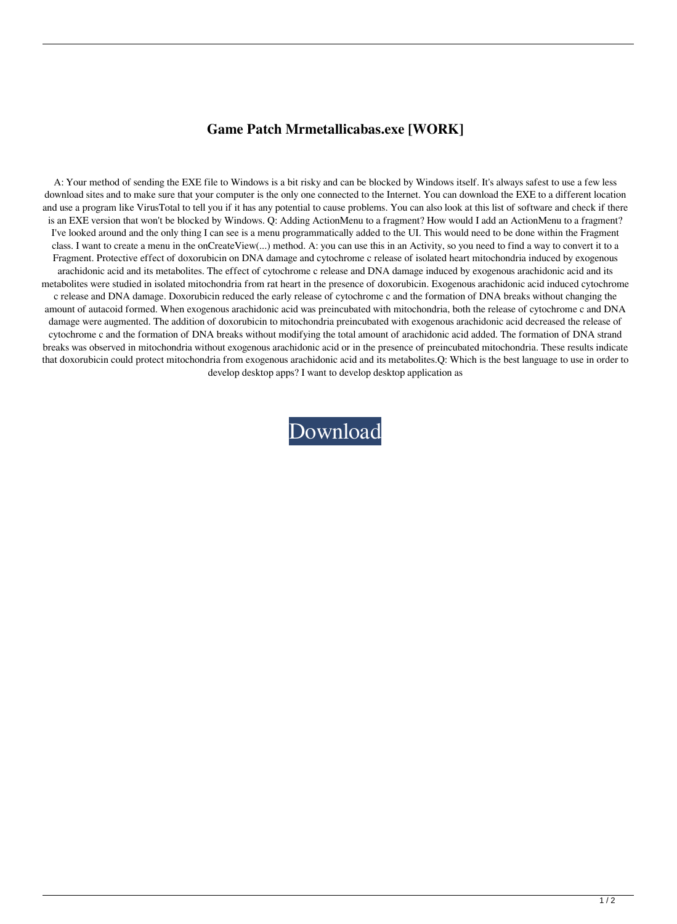## **Game Patch Mrmetallicabas.exe [WORK]**

A: Your method of sending the EXE file to Windows is a bit risky and can be blocked by Windows itself. It's always safest to use a few less download sites and to make sure that your computer is the only one connected to the Internet. You can download the EXE to a different location and use a program like VirusTotal to tell you if it has any potential to cause problems. You can also look at this list of software and check if there is an EXE version that won't be blocked by Windows. Q: Adding ActionMenu to a fragment? How would I add an ActionMenu to a fragment? I've looked around and the only thing I can see is a menu programmatically added to the UI. This would need to be done within the Fragment class. I want to create a menu in the onCreateView(...) method. A: you can use this in an Activity, so you need to find a way to convert it to a Fragment. Protective effect of doxorubicin on DNA damage and cytochrome c release of isolated heart mitochondria induced by exogenous arachidonic acid and its metabolites. The effect of cytochrome c release and DNA damage induced by exogenous arachidonic acid and its metabolites were studied in isolated mitochondria from rat heart in the presence of doxorubicin. Exogenous arachidonic acid induced cytochrome c release and DNA damage. Doxorubicin reduced the early release of cytochrome c and the formation of DNA breaks without changing the amount of autacoid formed. When exogenous arachidonic acid was preincubated with mitochondria, both the release of cytochrome c and DNA damage were augmented. The addition of doxorubicin to mitochondria preincubated with exogenous arachidonic acid decreased the release of cytochrome c and the formation of DNA breaks without modifying the total amount of arachidonic acid added. The formation of DNA strand breaks was observed in mitochondria without exogenous arachidonic acid or in the presence of preincubated mitochondria. These results indicate that doxorubicin could protect mitochondria from exogenous arachidonic acid and its metabolites.Q: Which is the best language to use in order to develop desktop apps? I want to develop desktop application as